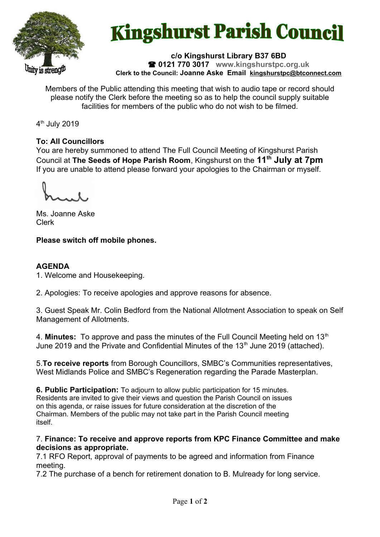

# **Kingshurst Parish Council**

**c/o Kingshurst Library B37 6BD 0121 770 3017 www.kingshurstpc.org.uk Clerk to the Council: Joanne Aske Email [kingshurstpc@btconnect.com](mailto:kingshurstpc@btconnect.com)**

Members of the Public attending this meeting that wish to audio tape or record should please notify the Clerk before the meeting so as to help the council supply suitable facilities for members of the public who do not wish to be filmed.

4<sup>th</sup> July 2019

## **To: All Councillors**

You are hereby summoned to attend The Full Council Meeting of Kingshurst Parish Council at **The Seeds of Hope Parish Room**, Kingshurst on the **11th July at 7pm** If you are unable to attend please forward your apologies to the Chairman or myself.

Ms. Joanne Aske Clerk

**Please switch off mobile phones.**

## **AGENDA**

1. Welcome and Housekeeping.

2. Apologies: To receive apologies and approve reasons for absence.

3. Guest Speak Mr. Colin Bedford from the National Allotment Association to speak on Self Management of Allotments.

4. Minutes: To approve and pass the minutes of the Full Council Meeting held on 13<sup>th</sup> June 2019 and the Private and Confidential Minutes of the  $13<sup>th</sup>$  June 2019 (attached).

5.**To receive reports** from Borough Councillors, SMBC's Communities representatives, West Midlands Police and SMBC's Regeneration regarding the Parade Masterplan.

**6. Public Participation:** To adjourn to allow public participation for 15 minutes. Residents are invited to give their views and question the Parish Council on issues on this agenda, or raise issues for future consideration at the discretion of the Chairman. Members of the public may not take part in the Parish Council meeting itself.

#### 7. **Finance: To receive and approve reports from KPC Finance Committee and make decisions as appropriate.**

7.1 RFO Report, approval of payments to be agreed and information from Finance meeting.

7.2 The purchase of a bench for retirement donation to B. Mulready for long service.